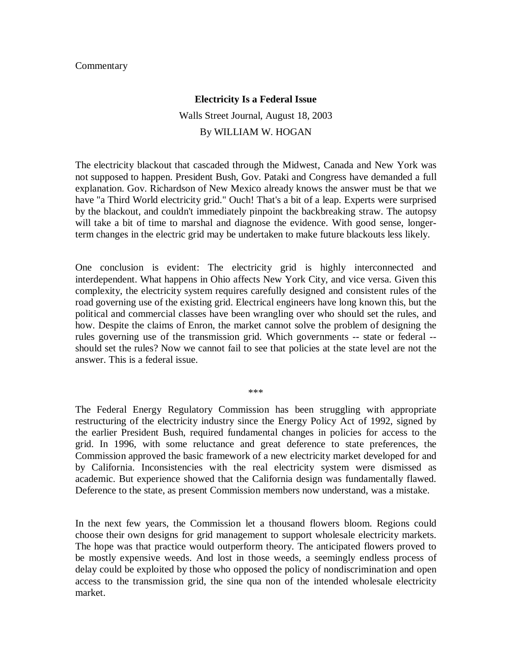## Commentary

## **Electricity Is a Federal Issue** Walls Street Journal, August 18, 2003 By WILLIAM W. HOGAN

The electricity blackout that cascaded through the Midwest, Canada and New York was not supposed to happen. President Bush, Gov. Pataki and Congress have demanded a full explanation. Gov. Richardson of New Mexico already knows the answer must be that we have "a Third World electricity grid." Ouch! That's a bit of a leap. Experts were surprised by the blackout, and couldn't immediately pinpoint the backbreaking straw. The autopsy will take a bit of time to marshal and diagnose the evidence. With good sense, longerterm changes in the electric grid may be undertaken to make future blackouts less likely.

One conclusion is evident: The electricity grid is highly interconnected and interdependent. What happens in Ohio affects New York City, and vice versa. Given this complexity, the electricity system requires carefully designed and consistent rules of the road governing use of the existing grid. Electrical engineers have long known this, but the political and commercial classes have been wrangling over who should set the rules, and how. Despite the claims of Enron, the market cannot solve the problem of designing the rules governing use of the transmission grid. Which governments -- state or federal - should set the rules? Now we cannot fail to see that policies at the state level are not the answer. This is a federal issue.

\*\*\*

The Federal Energy Regulatory Commission has been struggling with appropriate restructuring of the electricity industry since the Energy Policy Act of 1992, signed by the earlier President Bush, required fundamental changes in policies for access to the grid. In 1996, with some reluctance and great deference to state preferences, the Commission approved the basic framework of a new electricity market developed for and by California. Inconsistencies with the real electricity system were dismissed as academic. But experience showed that the California design was fundamentally flawed. Deference to the state, as present Commission members now understand, was a mistake.

In the next few years, the Commission let a thousand flowers bloom. Regions could choose their own designs for grid management to support wholesale electricity markets. The hope was that practice would outperform theory. The anticipated flowers proved to be mostly expensive weeds. And lost in those weeds, a seemingly endless process of delay could be exploited by those who opposed the policy of nondiscrimination and open access to the transmission grid, the sine qua non of the intended wholesale electricity market.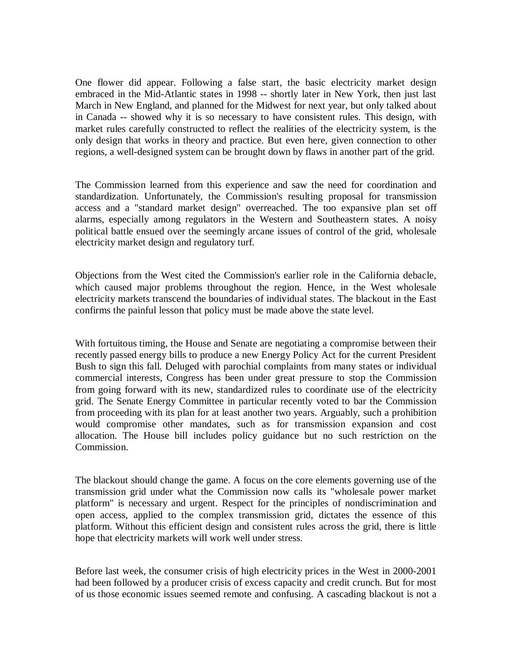One flower did appear. Following a false start, the basic electricity market design embraced in the Mid-Atlantic states in 1998 -- shortly later in New York, then just last March in New England, and planned for the Midwest for next year, but only talked about in Canada -- showed why it is so necessary to have consistent rules. This design, with market rules carefully constructed to reflect the realities of the electricity system, is the only design that works in theory and practice. But even here, given connection to other regions, a well-designed system can be brought down by flaws in another part of the grid.

The Commission learned from this experience and saw the need for coordination and standardization. Unfortunately, the Commission's resulting proposal for transmission access and a "standard market design" overreached. The too expansive plan set off alarms, especially among regulators in the Western and Southeastern states. A noisy political battle ensued over the seemingly arcane issues of control of the grid, wholesale electricity market design and regulatory turf.

Objections from the West cited the Commission's earlier role in the California debacle, which caused major problems throughout the region. Hence, in the West wholesale electricity markets transcend the boundaries of individual states. The blackout in the East confirms the painful lesson that policy must be made above the state level.

With fortuitous timing, the House and Senate are negotiating a compromise between their recently passed energy bills to produce a new Energy Policy Act for the current President Bush to sign this fall. Deluged with parochial complaints from many states or individual commercial interests, Congress has been under great pressure to stop the Commission from going forward with its new, standardized rules to coordinate use of the electricity grid. The Senate Energy Committee in particular recently voted to bar the Commission from proceeding with its plan for at least another two years. Arguably, such a prohibition would compromise other mandates, such as for transmission expansion and cost allocation. The House bill includes policy guidance but no such restriction on the Commission.

The blackout should change the game. A focus on the core elements governing use of the transmission grid under what the Commission now calls its "wholesale power market platform" is necessary and urgent. Respect for the principles of nondiscrimination and open access, applied to the complex transmission grid, dictates the essence of this platform. Without this efficient design and consistent rules across the grid, there is little hope that electricity markets will work well under stress.

Before last week, the consumer crisis of high electricity prices in the West in 2000-2001 had been followed by a producer crisis of excess capacity and credit crunch. But for most of us those economic issues seemed remote and confusing. A cascading blackout is not a